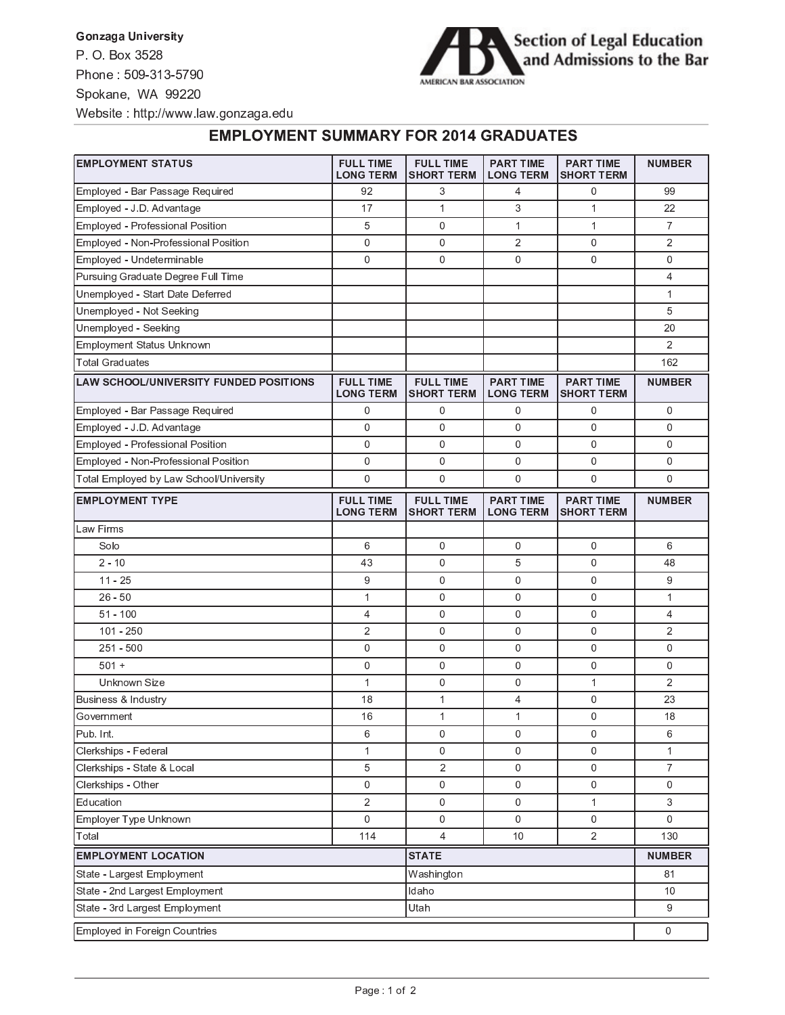**Gonzaga University** P O Box 3528 Phone: 509-313-5790 Spokane, WA 99220 Website: http://www.law.gonzaga.edu



## **EMPLOYMENT SUMMARY FOR 2014 GRADUATES**

| <b>EMPLOYMENT STATUS</b>                      | <b>FULL TIME</b><br><b>LONG TERM</b> | <b>FULL TIME</b><br><b>SHORT TERM</b> | <b>PART TIME</b><br><b>LONG TERM</b> | <b>PART TIME</b><br><b>SHORT TERM</b> | <b>NUMBER</b>    |
|-----------------------------------------------|--------------------------------------|---------------------------------------|--------------------------------------|---------------------------------------|------------------|
| Employed - Bar Passage Required               | 92                                   | 3                                     | $\overline{4}$                       | 0                                     | 99               |
| Employed - J.D. Advantage                     | 17                                   | $\mathbf{1}$                          | 3                                    | $\mathbf{1}$                          | 22               |
| Employed - Professional Position              | 5                                    | $\mathbf{0}$                          | $\mathbf{1}$                         | $\mathbf{1}$                          | $\overline{7}$   |
| Employed - Non-Professional Position          | 0                                    | $\mathbf 0$                           | $\overline{2}$                       | 0                                     | $\overline{2}$   |
| Employed - Undeterminable                     | 0                                    | $\mathbf{0}$                          | 0                                    | $\mathbf{0}$                          | 0                |
| Pursuing Graduate Degree Full Time            |                                      |                                       |                                      |                                       | 4                |
| Unemployed - Start Date Deferred              |                                      |                                       |                                      |                                       | $\mathbf{1}$     |
| Unemployed - Not Seeking                      |                                      |                                       |                                      |                                       | 5                |
| Unemployed - Seeking                          |                                      |                                       |                                      |                                       | 20               |
| Employment Status Unknown                     |                                      |                                       |                                      |                                       | $\overline{2}$   |
| <b>Total Graduates</b>                        |                                      |                                       |                                      |                                       | 162              |
| <b>LAW SCHOOL/UNIVERSITY FUNDED POSITIONS</b> | <b>FULL TIME</b><br><b>LONG TERM</b> | <b>FULL TIME</b><br><b>SHORT TERM</b> | <b>PART TIME</b><br><b>LONG TERM</b> | <b>PART TIME</b><br><b>SHORT TERM</b> | <b>NUMBER</b>    |
| Employed - Bar Passage Required               | 0                                    | 0                                     | 0                                    | 0                                     | 0                |
| Employed - J.D. Advantage                     | 0                                    | $\mathbf{0}$                          | 0                                    | $\mathbf{0}$                          | 0                |
| Employed - Professional Position              | 0                                    | $\mathbf{0}$                          | 0                                    | $\mathbf{0}$                          | 0                |
| Employed - Non-Professional Position          | 0                                    | 0                                     | 0                                    | $\mathbf 0$                           | 0                |
| Total Employed by Law School/University       | 0                                    | $\mathbf 0$                           | 0                                    | $\mathbf{0}$                          | 0                |
| <b>EMPLOYMENT TYPE</b>                        | <b>FULL TIME</b><br><b>LONG TERM</b> | <b>FULL TIME</b><br><b>SHORT TERM</b> | <b>PART TIME</b><br><b>LONG TERM</b> | <b>PART TIME</b><br><b>SHORT TERM</b> | <b>NUMBER</b>    |
| Law Firms                                     |                                      |                                       |                                      |                                       |                  |
| Solo                                          | 6                                    | 0                                     | 0                                    | 0                                     | 6                |
| $2 - 10$                                      | 43                                   | 0                                     | 5                                    | 0                                     | 48               |
| $11 - 25$                                     | 9                                    | 0                                     | 0                                    | 0                                     | 9                |
| $26 - 50$                                     | $\mathbf{1}$                         | $\mathbf 0$                           | 0                                    | $\mathbf 0$                           | $\mathbf{1}$     |
| $51 - 100$                                    | 4                                    | $\mathbf 0$                           | 0                                    | $\mathbf 0$                           | $\overline{4}$   |
| $101 - 250$                                   | 2                                    | $\mathbf 0$                           | 0                                    | 0                                     | $\overline{2}$   |
| $251 - 500$                                   | 0                                    | $\mathbf 0$                           | 0                                    | 0                                     | 0                |
| $501 +$                                       | 0                                    | $\mathbf{0}$                          | 0                                    | $\mathbf{0}$                          | 0                |
| Unknown Size                                  | $\mathbf{1}$                         | $\mathbf 0$                           | 0                                    | $\mathbf 1$                           | $\overline{2}$   |
| Business & Industry                           | 18                                   | $\mathbf 1$                           | 4                                    | 0                                     | 23               |
| Government                                    | 16                                   | $\mathbf 1$                           | $\mathbf{1}$                         | 0                                     | 18               |
| Pub. Int.                                     | 6                                    | 0                                     | 0                                    | 0                                     | 6                |
| Clerkships - Federal                          | $\mathbf{1}$                         | $\mathbf 0$                           | 0                                    | $\mathbf 0$                           | $\mathbf{1}$     |
| Clerkships - State & Local                    | 5                                    | 2                                     | 0                                    | 0                                     | $\overline{7}$   |
| Clerkships - Other                            | 0                                    | $\boldsymbol{0}$                      | 0                                    | 0                                     | 0                |
| Education                                     | $\overline{2}$                       | 0                                     | 0                                    | $\mathbf{1}$                          | 3                |
| Employer Type Unknown                         | 0                                    | 0                                     | 0                                    | 0                                     | $\overline{0}$   |
| Total                                         | 114                                  | 4                                     | 10                                   | $\sqrt{2}$                            | 130              |
| <b>EMPLOYMENT LOCATION</b>                    |                                      | <b>STATE</b>                          |                                      |                                       | <b>NUMBER</b>    |
| State - Largest Employment                    | Washington                           |                                       |                                      | 81                                    |                  |
| State - 2nd Largest Employment<br>Idaho       |                                      |                                       |                                      |                                       | 10               |
| State - 3rd Largest Employment<br>Utah        |                                      |                                       |                                      |                                       | 9                |
| Employed in Foreign Countries                 |                                      |                                       |                                      |                                       | $\boldsymbol{0}$ |